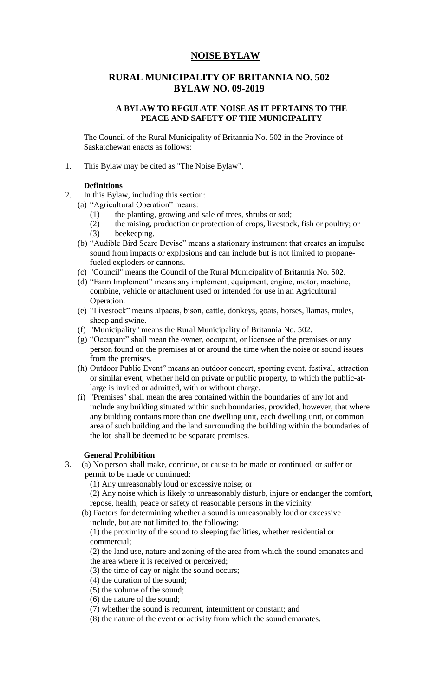# **NOISE BYLAW**

# **RURAL MUNICIPALITY OF BRITANNIA NO. 502 BYLAW NO. 09-2019**

### **A BYLAW TO REGULATE NOISE AS IT PERTAINS TO THE PEACE AND SAFETY OF THE MUNICIPALITY**

The Council of the Rural Municipality of Britannia No. 502 in the Province of Saskatchewan enacts as follows:

1. This Bylaw may be cited as "The Noise Bylaw".

## **Definitions**

- 2. In this Bylaw, including this section:
	- (a) "Agricultural Operation" means:
		- (1) the planting, growing and sale of trees, shrubs or sod;
		- (2) the raising, production or protection of crops, livestock, fish or poultry; or (3) beekeeping.
	- (b) "Audible Bird Scare Devise" means a stationary instrument that creates an impulse sound from impacts or explosions and can include but is not limited to propanefueled exploders or cannons.
	- (c) "Council" means the Council of the Rural Municipality of Britannia No. 502.
	- (d) "Farm Implement" means any implement, equipment, engine, motor, machine, combine, vehicle or attachment used or intended for use in an Agricultural Operation.
	- (e) "Livestock" means alpacas, bison, cattle, donkeys, goats, horses, llamas, mules, sheep and swine.
	- (f) "Municipality" means the Rural Municipality of Britannia No. 502.
	- (g) "Occupant" shall mean the owner, occupant, or licensee of the premises or any person found on the premises at or around the time when the noise or sound issues from the premises.
	- (h) Outdoor Public Event" means an outdoor concert, sporting event, festival, attraction or similar event, whether held on private or public property, to which the public-atlarge is invited or admitted, with or without charge.
	- (i) "Premises" shall mean the area contained within the boundaries of any lot and include any building situated within such boundaries, provided, however, that where any building contains more than one dwelling unit, each dwelling unit, or common area of such building and the land surrounding the building within the boundaries of the lot shall be deemed to be separate premises.

### **General Prohibition**

3. (a) No person shall make, continue, or cause to be made or continued, or suffer or permit to be made or continued:

(1) Any unreasonably loud or excessive noise; or

(2) Any noise which is likely to unreasonably disturb, injure or endanger the comfort, repose, health, peace or safety of reasonable persons in the vicinity.

 (b) Factors for determining whether a sound is unreasonably loud or excessive include, but are not limited to, the following:

(1) the proximity of the sound to sleeping facilities, whether residential or commercial;

(2) the land use, nature and zoning of the area from which the sound emanates and the area where it is received or perceived;

- (3) the time of day or night the sound occurs;
- (4) the duration of the sound;
- (5) the volume of the sound;
- (6) the nature of the sound;
- (7) whether the sound is recurrent, intermittent or constant; and
- (8) the nature of the event or activity from which the sound emanates.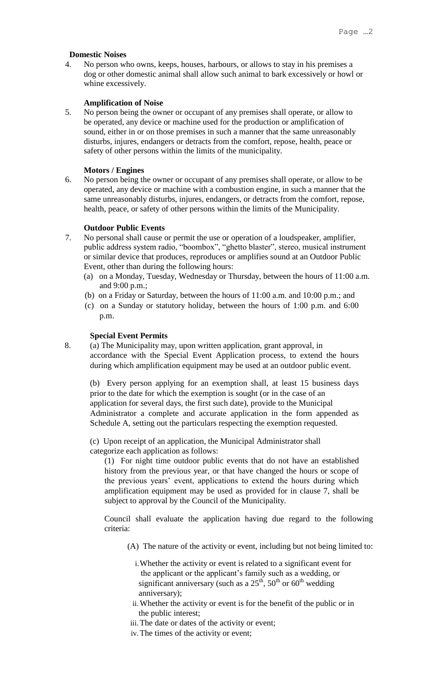#### **Domestic Noises**

4. No person who owns, keeps, houses, harbours, or allows to stay in his premises a dog or other domestic animal shall allow such animal to bark excessively or howl or whine excessively.

#### **Amplification of Noise**

5. No person being the owner or occupant of any premises shall operate, or allow to be operated, any device or machine used for the production or amplification of sound, either in or on those premises in such a manner that the same unreasonably disturbs, injures, endangers or detracts from the comfort, repose, health, peace or safety of other persons within the limits of the municipality.

#### **Motors / Engines**

6. No person being the owner or occupant of any premises shall operate, or allow to be operated, any device or machine with a combustion engine, in such a manner that the same unreasonably disturbs, injures, endangers, or detracts from the comfort, repose, health, peace, or safety of other persons within the limits of the Municipality.

#### **Outdoor Public Events**

- 7. No personal shall cause or permit the use or operation of a loudspeaker, amplifier, public address system radio, "boombox", "ghetto blaster", stereo, musical instrument or similar device that produces, reproduces or amplifies sound at an Outdoor Public Event, other than during the following hours:
	- (a) on a Monday, Tuesday, Wednesday or Thursday, between the hours of 11:00 a.m. and 9:00 p.m.;
	- (b) on a Friday or Saturday, between the hours of 11:00 a.m. and 10:00 p.m.; and
	- (c) on a Sunday or statutory holiday, between the hours of 1:00 p.m. and 6:00 p.m.

#### **Special Event Permits**

8. (a) The Municipality may, upon written application, grant approval, in accordance with the Special Event Application process, to extend the hours during which amplification equipment may be used at an outdoor public event.

(b) Every person applying for an exemption shall, at least 15 business days prior to the date for which the exemption is sought (or in the case of an application for several days, the first such date), provide to the Municipal Administrator a complete and accurate application in the form appended as Schedule A, setting out the particulars respecting the exemption requested.

(c) Upon receipt of an application, the Municipal Administrator shall categorize each application as follows:

(1) For night time outdoor public events that do not have an established history from the previous year, or that have changed the hours or scope of the previous years' event, applications to extend the hours during which amplification equipment may be used as provided for in clause 7, shall be subject to approval by the Council of the Municipality.

Council shall evaluate the application having due regard to the following criteria:

- (A) The nature of the activity or event, including but not being limited to:
	- i.Whether the activity or event is related to a significant event for the applicant or the applicant's family such as a wedding, or significant anniversary (such as a  $25<sup>th</sup>$ ,  $50<sup>th</sup>$  or  $60<sup>th</sup>$  wedding anniversary);
	- ii.Whether the activity or event is for the benefit of the public or in the public interest;
- iii.The date or dates of the activity or event;
- iv.The times of the activity or event;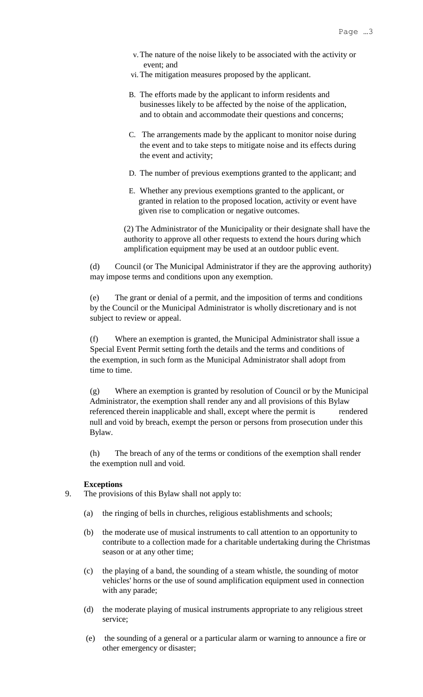- v.The nature of the noise likely to be associated with the activity or event; and
- vi.The mitigation measures proposed by the applicant.
- B. The efforts made by the applicant to inform residents and businesses likely to be affected by the noise of the application, and to obtain and accommodate their questions and concerns;
- C. The arrangements made by the applicant to monitor noise during the event and to take steps to mitigate noise and its effects during the event and activity;
- D. The number of previous exemptions granted to the applicant; and
- E. Whether any previous exemptions granted to the applicant, or granted in relation to the proposed location, activity or event have given rise to complication or negative outcomes.

(2) The Administrator of the Municipality or their designate shall have the authority to approve all other requests to extend the hours during which amplification equipment may be used at an outdoor public event.

 (d) Council (or The Municipal Administrator if they are the approving authority) may impose terms and conditions upon any exemption.

(e) The grant or denial of a permit, and the imposition of terms and conditions by the Council or the Municipal Administrator is wholly discretionary and is not subject to review or appeal.

(f) Where an exemption is granted, the Municipal Administrator shall issue a Special Event Permit setting forth the details and the terms and conditions of the exemption, in such form as the Municipal Administrator shall adopt from time to time.

(g) Where an exemption is granted by resolution of Council or by the Municipal Administrator, the exemption shall render any and all provisions of this Bylaw referenced therein inapplicable and shall, except where the permit is rendered null and void by breach, exempt the person or persons from prosecution under this Bylaw.

(h) The breach of any of the terms or conditions of the exemption shall render the exemption null and void.

#### **Exceptions**

- 9. The provisions of this Bylaw shall not apply to:
	- (a) the ringing of bells in churches, religious establishments and schools;
	- (b) the moderate use of musical instruments to call attention to an opportunity to contribute to a collection made for a charitable undertaking during the Christmas season or at any other time;
	- (c) the playing of a band, the sounding of a steam whistle, the sounding of motor vehicles' horns or the use of sound amplification equipment used in connection with any parade;
	- (d) the moderate playing of musical instruments appropriate to any religious street service;
	- (e) the sounding of a general or a particular alarm or warning to announce a fire or other emergency or disaster;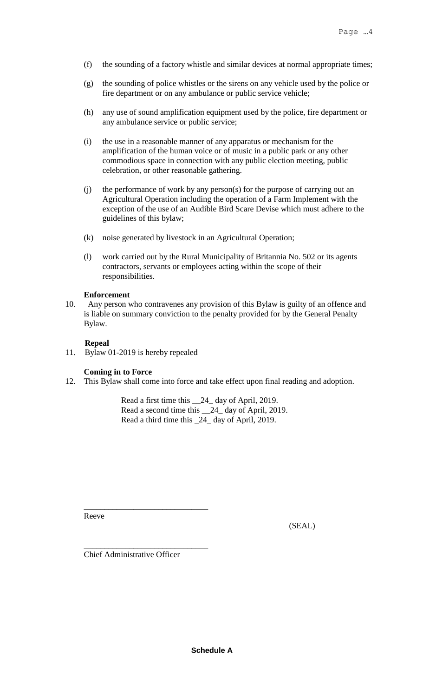- (f) the sounding of a factory whistle and similar devices at normal appropriate times;
- (g) the sounding of police whistles or the sirens on any vehicle used by the police or fire department or on any ambulance or public service vehicle;
- (h) any use of sound amplification equipment used by the police, fire department or any ambulance service or public service;
- (i) the use in a reasonable manner of any apparatus or mechanism for the amplification of the human voice or of music in a public park or any other commodious space in connection with any public election meeting, public celebration, or other reasonable gathering.
- (j) the performance of work by any person(s) for the purpose of carrying out an Agricultural Operation including the operation of a Farm Implement with the exception of the use of an Audible Bird Scare Devise which must adhere to the guidelines of this bylaw;
- (k) noise generated by livestock in an Agricultural Operation;
- (l) work carried out by the Rural Municipality of Britannia No. 502 or its agents contractors, servants or employees acting within the scope of their responsibilities.

#### **Enforcement**

10. Any person who contravenes any provision of this Bylaw is guilty of an offence and is liable on summary conviction to the penalty provided for by the General Penalty Bylaw.

#### **Repeal**

11. Bylaw 01-2019 is hereby repealed

### **Coming in to Force**

12. This Bylaw shall come into force and take effect upon final reading and adoption.

Read a first time this \_\_24\_ day of April, 2019. Read a second time this \_\_24\_ day of April, 2019. Read a third time this \_24\_ day of April, 2019.

Reeve

(SEAL)

Chief Administrative Officer

\_\_\_\_\_\_\_\_\_\_\_\_\_\_\_\_\_\_\_\_\_\_\_\_\_\_\_\_\_\_

\_\_\_\_\_\_\_\_\_\_\_\_\_\_\_\_\_\_\_\_\_\_\_\_\_\_\_\_\_\_